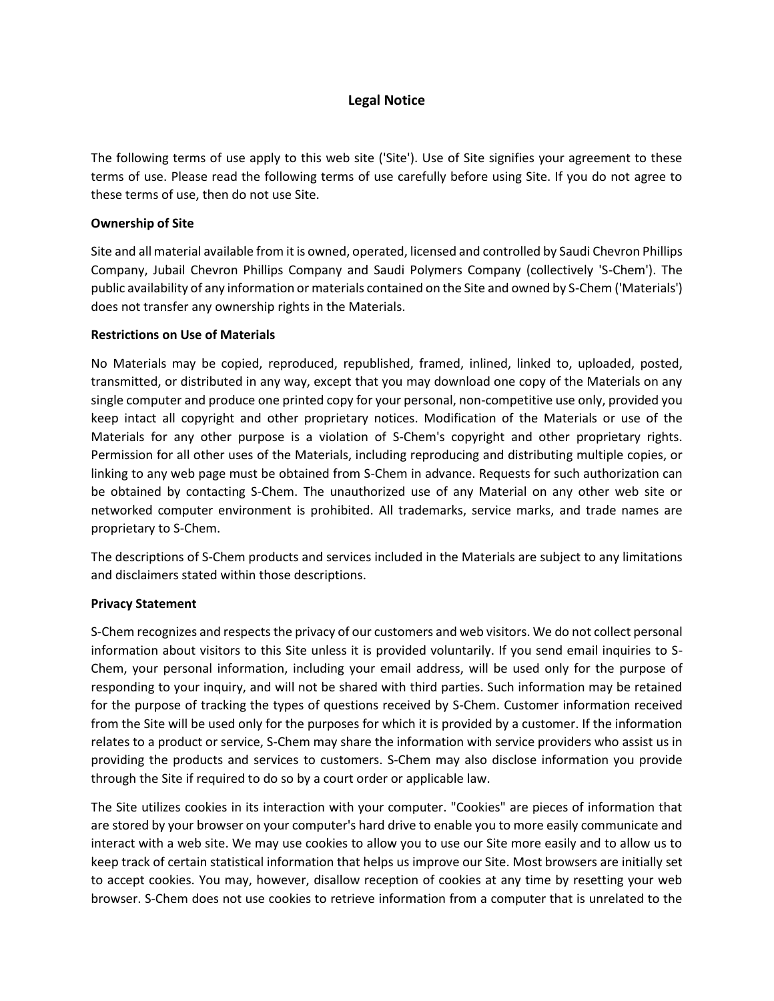# **Legal Notice**

The following terms of use apply to this web site ('Site'). Use of Site signifies your agreement to these terms of use. Please read the following terms of use carefully before using Site. If you do not agree to these terms of use, then do not use Site.

### **Ownership of Site**

Site and all material available from it is owned, operated, licensed and controlled by Saudi Chevron Phillips Company, Jubail Chevron Phillips Company and Saudi Polymers Company (collectively 'S-Chem'). The public availability of any information or materials contained on the Site and owned by S-Chem ('Materials') does not transfer any ownership rights in the Materials.

#### **Restrictions on Use of Materials**

No Materials may be copied, reproduced, republished, framed, inlined, linked to, uploaded, posted, transmitted, or distributed in any way, except that you may download one copy of the Materials on any single computer and produce one printed copy for your personal, non-competitive use only, provided you keep intact all copyright and other proprietary notices. Modification of the Materials or use of the Materials for any other purpose is a violation of S-Chem's copyright and other proprietary rights. Permission for all other uses of the Materials, including reproducing and distributing multiple copies, or linking to any web page must be obtained from S-Chem in advance. Requests for such authorization can be obtained by contacting S-Chem. The unauthorized use of any Material on any other web site or networked computer environment is prohibited. All trademarks, service marks, and trade names are proprietary to S-Chem.

The descriptions of S-Chem products and services included in the Materials are subject to any limitations and disclaimers stated within those descriptions.

### **Privacy Statement**

S-Chem recognizes and respects the privacy of our customers and web visitors. We do not collect personal information about visitors to this Site unless it is provided voluntarily. If you send email inquiries to S-Chem, your personal information, including your email address, will be used only for the purpose of responding to your inquiry, and will not be shared with third parties. Such information may be retained for the purpose of tracking the types of questions received by S-Chem. Customer information received from the Site will be used only for the purposes for which it is provided by a customer. If the information relates to a product or service, S-Chem may share the information with service providers who assist us in providing the products and services to customers. S-Chem may also disclose information you provide through the Site if required to do so by a court order or applicable law.

The Site utilizes cookies in its interaction with your computer. "Cookies" are pieces of information that are stored by your browser on your computer's hard drive to enable you to more easily communicate and interact with a web site. We may use cookies to allow you to use our Site more easily and to allow us to keep track of certain statistical information that helps us improve our Site. Most browsers are initially set to accept cookies. You may, however, disallow reception of cookies at any time by resetting your web browser. S-Chem does not use cookies to retrieve information from a computer that is unrelated to the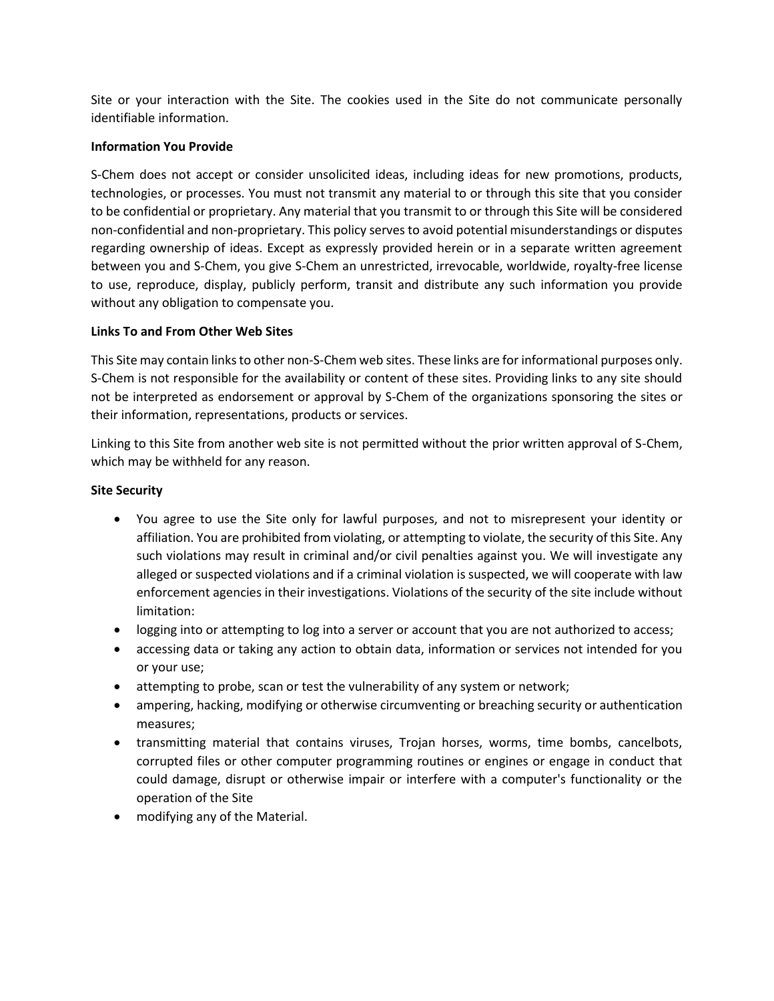Site or your interaction with the Site. The cookies used in the Site do not communicate personally identifiable information.

### **Information You Provide**

S-Chem does not accept or consider unsolicited ideas, including ideas for new promotions, products, technologies, or processes. You must not transmit any material to or through this site that you consider to be confidential or proprietary. Any material that you transmit to or through this Site will be considered non-confidential and non-proprietary. This policy serves to avoid potential misunderstandings or disputes regarding ownership of ideas. Except as expressly provided herein or in a separate written agreement between you and S-Chem, you give S-Chem an unrestricted, irrevocable, worldwide, royalty-free license to use, reproduce, display, publicly perform, transit and distribute any such information you provide without any obligation to compensate you.

### **Links To and From Other Web Sites**

This Site may contain links to other non-S-Chem web sites. These links are for informational purposes only. S-Chem is not responsible for the availability or content of these sites. Providing links to any site should not be interpreted as endorsement or approval by S-Chem of the organizations sponsoring the sites or their information, representations, products or services.

Linking to this Site from another web site is not permitted without the prior written approval of S-Chem, which may be withheld for any reason.

## **Site Security**

- You agree to use the Site only for lawful purposes, and not to misrepresent your identity or affiliation. You are prohibited from violating, or attempting to violate, the security of this Site. Any such violations may result in criminal and/or civil penalties against you. We will investigate any alleged or suspected violations and if a criminal violation is suspected, we will cooperate with law enforcement agencies in their investigations. Violations of the security of the site include without limitation:
- logging into or attempting to log into a server or account that you are not authorized to access;
- accessing data or taking any action to obtain data, information or services not intended for you or your use;
- attempting to probe, scan or test the vulnerability of any system or network;
- ampering, hacking, modifying or otherwise circumventing or breaching security or authentication measures;
- transmitting material that contains viruses, Trojan horses, worms, time bombs, cancelbots, corrupted files or other computer programming routines or engines or engage in conduct that could damage, disrupt or otherwise impair or interfere with a computer's functionality or the operation of the Site
- modifying any of the Material.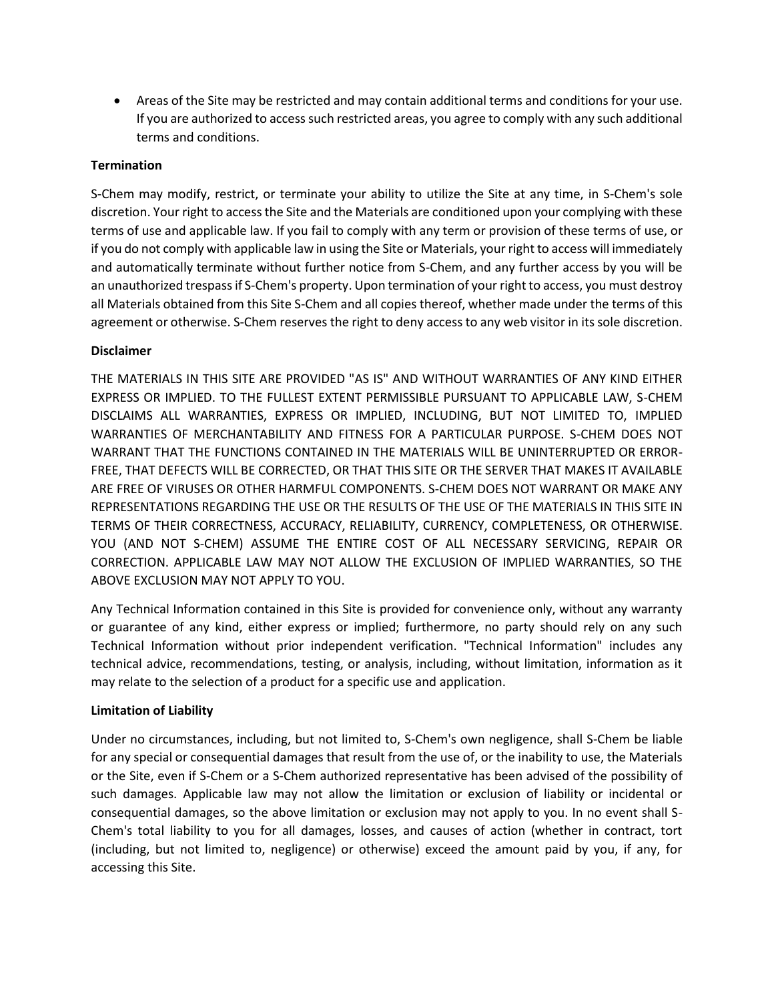• Areas of the Site may be restricted and may contain additional terms and conditions for your use. If you are authorized to access such restricted areas, you agree to comply with any such additional terms and conditions.

## **Termination**

S-Chem may modify, restrict, or terminate your ability to utilize the Site at any time, in S-Chem's sole discretion. Your right to access the Site and the Materials are conditioned upon your complying with these terms of use and applicable law. If you fail to comply with any term or provision of these terms of use, or if you do not comply with applicable law in using the Site or Materials, your right to access will immediately and automatically terminate without further notice from S-Chem, and any further access by you will be an unauthorized trespass if S-Chem's property. Upon termination of your right to access, you must destroy all Materials obtained from this Site S-Chem and all copies thereof, whether made under the terms of this agreement or otherwise. S-Chem reserves the right to deny access to any web visitor in its sole discretion.

## **Disclaimer**

THE MATERIALS IN THIS SITE ARE PROVIDED "AS IS" AND WITHOUT WARRANTIES OF ANY KIND EITHER EXPRESS OR IMPLIED. TO THE FULLEST EXTENT PERMISSIBLE PURSUANT TO APPLICABLE LAW, S-CHEM DISCLAIMS ALL WARRANTIES, EXPRESS OR IMPLIED, INCLUDING, BUT NOT LIMITED TO, IMPLIED WARRANTIES OF MERCHANTABILITY AND FITNESS FOR A PARTICULAR PURPOSE. S-CHEM DOES NOT WARRANT THAT THE FUNCTIONS CONTAINED IN THE MATERIALS WILL BE UNINTERRUPTED OR ERROR-FREE, THAT DEFECTS WILL BE CORRECTED, OR THAT THIS SITE OR THE SERVER THAT MAKES IT AVAILABLE ARE FREE OF VIRUSES OR OTHER HARMFUL COMPONENTS. S-CHEM DOES NOT WARRANT OR MAKE ANY REPRESENTATIONS REGARDING THE USE OR THE RESULTS OF THE USE OF THE MATERIALS IN THIS SITE IN TERMS OF THEIR CORRECTNESS, ACCURACY, RELIABILITY, CURRENCY, COMPLETENESS, OR OTHERWISE. YOU (AND NOT S-CHEM) ASSUME THE ENTIRE COST OF ALL NECESSARY SERVICING, REPAIR OR CORRECTION. APPLICABLE LAW MAY NOT ALLOW THE EXCLUSION OF IMPLIED WARRANTIES, SO THE ABOVE EXCLUSION MAY NOT APPLY TO YOU.

Any Technical Information contained in this Site is provided for convenience only, without any warranty or guarantee of any kind, either express or implied; furthermore, no party should rely on any such Technical Information without prior independent verification. "Technical Information" includes any technical advice, recommendations, testing, or analysis, including, without limitation, information as it may relate to the selection of a product for a specific use and application.

### **Limitation of Liability**

Under no circumstances, including, but not limited to, S-Chem's own negligence, shall S-Chem be liable for any special or consequential damages that result from the use of, or the inability to use, the Materials or the Site, even if S-Chem or a S-Chem authorized representative has been advised of the possibility of such damages. Applicable law may not allow the limitation or exclusion of liability or incidental or consequential damages, so the above limitation or exclusion may not apply to you. In no event shall S-Chem's total liability to you for all damages, losses, and causes of action (whether in contract, tort (including, but not limited to, negligence) or otherwise) exceed the amount paid by you, if any, for accessing this Site.